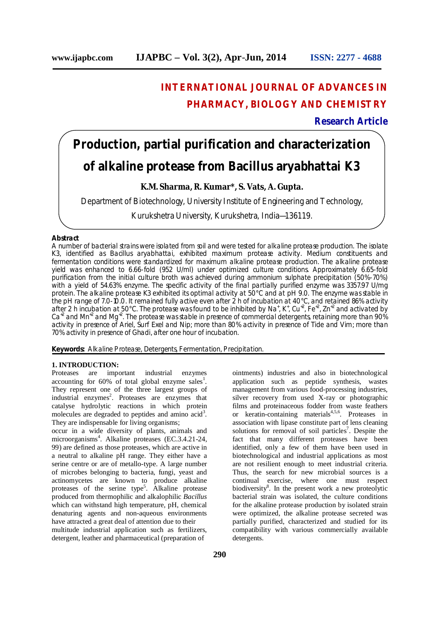## **INTERNATIONAL JOURNAL OF ADVANCES IN PHARMACY, BIOLOGY AND CHEMISTRY**

**Research Article**

# **Production, partial purification and characterization of alkaline protease from** *Bacillus aryabhattai* **K3**

## **K.M. Sharma, R. Kumar\*, S. Vats, A. Gupta.**

Department of Biotechnology, University Institute of Engineering and Technology,

Kurukshetra University, Kurukshetra, India—136119.

#### **Abstract**

A number of bacterial strains were isolated from soil and were tested for alkaline protease production. The isolate K3, identified as *Bacillus aryabhattai*, exhibited maximum protease activity. Medium constituents and fermentation conditions were standardized for maximum alkaline protease production. The alkaline protease yield was enhanced to 6.66-fold (952 U/ml) under optimized culture conditions. Approximately 6.65-fold purification from the initial culture broth was achieved during ammonium sulphate precipitation (50%-70%) with a yield of 54.63% enzyme. The specific activity of the final partially purified enzyme was 3357.97 U/mg protein. The alkaline protease K3 exhibited its optimal activity at 50°C and at pH 9.0. The enzyme was stable in the pH range of 7.0-10.0. It remained fully active even after 2 h of incubation at 40°C, and retained 86% activity after 2 h incubation at 50°C. The protease was found to be inhibited by Na<sup>+</sup>, K<sup>+</sup>, Cu<sup>+2</sup>, Fe<sup>+2</sup>, Zn<sup>+2</sup> and activated by Ca<sup>+2</sup> and Mn<sup>+2</sup> and Mg<sup>+2</sup>. The protease was stable in presence of commercial detergents, retaining more than 90% activity in presence of Ariel, Surf Exel and Nip; more than 80% activity in presence of Tide and Vim; more than 70% activity in presence of Ghadi, after one hour of incubation.

**Keywords:** Alkaline Protease, Detergents, Fermentation, Precipitation.

## **1. INTRODUCTION:**

Proteases are important industrial enzymes accounting for  $60\%$  of total global enzyme sales<sup>1</sup>. They represent one of the three largest groups of industrial enzymes<sup>2</sup>. Proteases are enzymes that catalyse hydrolytic reactions in which protein molecules are degraded to peptides and amino  $\text{acid}^3$ . They are indispensable for living organisms;

occur in a wide diversity of plants, animals and microorganisms<sup>4</sup>. Alkaline proteases (EC.3.4.21-24, 99) are defined as those proteases, which are active in a neutral to alkaline pH range. They either have a serine centre or are of metallo-type. A large number of microbes belonging to bacteria, fungi, yeast and actinomycetes are known to produce alkaline proteases of the serine type<sup>5</sup>. Alkaline protease produced from thermophilic and alkalophilic *Bacillus* which can withstand high temperature, pH, chemical denaturing agents and non-aqueous environments have attracted a great deal of attention due to their multitude industrial application such as fertilizers, detergent, leather and pharmaceutical (preparation of

ointments) industries and also in biotechnological application such as peptide synthesis, wastes management from various food-processing industries, silver recovery from used X-ray or photographic films and proteinaceous fodder from waste feathers or keratin-containing materials<sup>4,5,6</sup>. Proteases in association with lipase constitute part of lens cleaning solutions for removal of soil particles<sup>7</sup>. Despite the fact that many different proteases have been identified, only a few of them have been used in biotechnological and industrial applications as most are not resilient enough to meet industrial criteria. Thus, the search for new microbial sources is a continual exercise, where one must respect biodiversity<sup>8</sup>. In the present work a new proteolytic bacterial strain was isolated, the culture conditions for the alkaline protease production by isolated strain were optimized, the alkaline protease secreted was partially purified, characterized and studied for its compatibility with various commercially available detergents.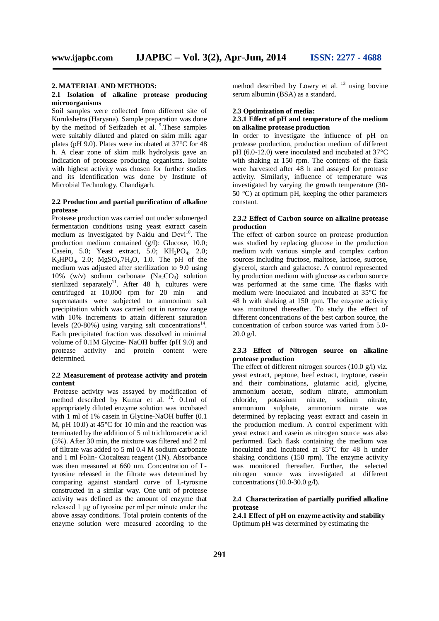#### **2. MATERIAL AND METHODS:**

#### **2.1 Isolation of alkaline protease producing microorganisms**

Soil samples were collected from different site of Kurukshetra (Haryana). Sample preparation was done by the method of Seifzadeh et al. <sup>9</sup>. These samples were suitably diluted and plated on skim milk agar plates (pH 9.0). Plates were incubated at 37°C for 48 h. A clear zone of skim milk hydrolysis gave an indication of protease producing organisms. Isolate with highest activity was chosen for further studies and its Identification was done by Institute of Microbial Technology, Chandigarh.

## **2.2 Production and partial purification of alkaline protease**

Protease production was carried out under submerged fermentation conditions using yeast extract casein medium as investigated by Naidu and Devi<sup>10</sup>. The production medium contained (g/l): Glucose, 10.0; Casein, 5.0; Yeast extract, 5.0; KH<sub>2</sub>PO<sub>4</sub>, 2.0;  $K_2HPO_4$ , 2.0;  $MgSO_4.7H_2O$ , 1.0. The pH of the medium was adjusted after sterilization to 9.0 using 10% (w/v) sodium carbonate  $(Na_2CO_3)$  solution sterilized separately<sup>11</sup>. After  $48$  h, cultures were centrifuged at 10,000 rpm for 20 min and supernatants were subjected to ammonium salt precipitation which was carried out in narrow range with 10% increments to attain different saturation levels  $(20-80%)$  using varying salt concentrations<sup>14</sup>. Each precipitated fraction was dissolved in minimal volume of 0.1M Glycine- NaOH buffer (pH 9.0) and protease activity and protein content were determined.

## **2.2 Measurement of protease activity and protein content**

Protease activity was assayed by modification of method described by Kumar et al.<sup>12</sup>. 0.1ml of appropriately diluted enzyme solution was incubated with 1 ml of 1% casein in Glycine-NaOH buffer (0.1) M, pH 10.0) at 45°C for 10 min and the reaction was terminated by the addition of 5 ml trichloroacetic acid (5%). After 30 min, the mixture was filtered and 2 ml of filtrate was added to 5 ml 0.4 M sodium carbonate and 1 ml Folin- Ciocalteau reagent (1N). Absorbance was then measured at 660 nm. Concentration of Ltyrosine released in the filtrate was determined by comparing against standard curve of L-tyrosine constructed in a similar way. One unit of protease activity was defined as the amount of enzyme that released 1 μg of tyrosine per ml per minute under the above assay conditions. Total protein contents of the enzyme solution were measured according to the

method described by Lowry et al.<sup>13</sup> using bovine serum albumin (BSA) as a standard.

#### **2.3 Optimization of media:**

#### **2.3.1 Effect of pH and temperature of the medium on alkaline protease production**

In order to investigate the influence of pH on protease production, production medium of different pH (6.0-12.0) were inoculated and incubated at 37°C with shaking at 150 rpm. The contents of the flask were harvested after 48 h and assayed for protease activity. Similarly, influence of temperature was investigated by varying the growth temperature (30- 50  $^{\circ}$ C) at optimum pH, keeping the other parameters constant.

## **2.3.2 Effect of Carbon source on alkaline protease production**

The effect of carbon source on protease production was studied by replacing glucose in the production medium with various simple and complex carbon sources including fructose, maltose, lactose, sucrose, glycerol, starch and galactose. A control represented by production medium with glucose as carbon source was performed at the same time. The flasks with medium were inoculated and incubated at 35°C for 48 h with shaking at 150 rpm. The enzyme activity was monitored thereafter. To study the effect of different concentrations of the best carbon source, the concentration of carbon source was varied from 5.0- 20.0 g/l.

## **2.3.3 Effect of Nitrogen source on alkaline protease production**

The effect of different nitrogen sources (10.0 g/l) viz. yeast extract, peptone, beef extract, tryptone, casein and their combinations, glutamic acid, glycine, ammonium acetate, sodium nitrate, ammonium chloride, potassium nitrate, ammonium sulphate, ammonium nitrate was determined by replacing yeast extract and casein in the production medium. A control experiment with yeast extract and casein as nitrogen source was also performed. Each flask containing the medium was inoculated and incubated at 35°C for 48 h under shaking conditions (150 rpm). The enzyme activity was monitored thereafter. Further, the selected nitrogen source was investigated at different concentrations (10.0-30.0 g/l).

## **2.4 Characterization of partially purified alkaline protease**

**2.4.1 Effect of pH on enzyme activity and stability** Optimum pH was determined by estimating the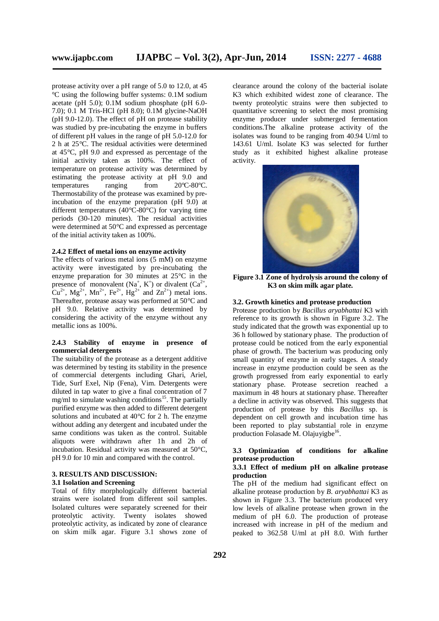protease activity over a pH range of 5.0 to 12.0, at 45 °C using the following buffer systems: 0.1M sodium acetate (pH 5.0);  $0.1M$  sodium phosphate (pH 6.0-7.0); 0.1 M Tris-HCl (pH 8.0); 0.1M glycine-NaOH (pH 9.0-12.0). The effect of pH on protease stability was studied by pre-incubating the enzyme in buffers of different pH values in the range of pH 5.0-12.0 for 2 h at 25°C. The residual activities were determined at 45°C, pH 9.0 and expressed as percentage of the initial activity taken as 100%. The effect of temperature on protease activity was determined by estimating the protease activity at pH 9.0 and<br>temperatures ranging from  $20^{\circ}$ C-80 $^{\circ}$ C. temperatures ranging from Thermostability of the protease was examined by preincubation of the enzyme preparation (pH 9.0) at different temperatures (40 $\degree$ C-80 $\degree$ C) for varying time periods (30-120 minutes). The residual activities were determined at 50°C and expressed as percentage of the initial activity taken as 100%.

## **2.4.2 Effect of metal ions on enzyme activity**

The effects of various metal ions (5 mM) on enzyme activity were investigated by pre-incubating the enzyme preparation for 30 minutes at 25°C in the presence of monovalent  $(Na^+, K^+)$  or divalent  $(Ca^{2+},$  $Cu^{2+}$ , Mg<sup>2+</sup>, Mn<sup>2+</sup>, Fe<sup>2+</sup>, Hg<sup>2+</sup> and Zn<sup>2+</sup>) metal ions. Thereafter, protease assay was performed at 50°C and pH 9.0. Relative activity was determined by considering the activity of the enzyme without any metallic ions as 100%.

## **2.4.3 Stability of enzyme in presence of commercial detergents**

The suitability of the protease as a detergent additive was determined by testing its stability in the presence of commercial detergents including Ghari, Ariel, Tide, Surf Exel, Nip (Fena), Vim. Detergents were diluted in tap water to give a final concentration of 7 mg/ml to simulate washing conditions<sup>15</sup>. The partially purified enzyme was then added to different detergent solutions and incubated at 40°C for 2 h. The enzyme without adding any detergent and incubated under the same conditions was taken as the control. Suitable aliquots were withdrawn after 1h and 2h of incubation. Residual activity was measured at 50°C, pH 9.0 for 10 min and compared with the control.

#### **3. RESULTS AND DISCUSSION: 3.1 Isolation and Screening**

Total of fifty morphologically different bacterial strains were isolated from different soil samples. Isolated cultures were separately screened for their proteolytic activity. Twenty isolates showed proteolytic activity, as indicated by zone of clearance on skim milk agar. Figure 3.1 shows zone of

clearance around the colony of the bacterial isolate K3 which exhibited widest zone of clearance. The twenty proteolytic strains were then subjected to quantitative screening to select the most promising enzyme producer under submerged fermentation conditions.The alkaline protease activity of the isolates was found to be ranging from 40.94 U/ml to 143.61 U/ml. Isolate K3 was selected for further study as it exhibited highest alkaline protease activity.



**Figure 3.1 Zone of hydrolysis around the colony of K3 on skim milk agar plate.**

## **3.2. Growth kinetics and protease production**

Protease production by *Bacillus aryabhattai* K3 with reference to its growth is shown in Figure 3.2. The study indicated that the growth was exponential up to 36 h followed by stationary phase. The production of protease could be noticed from the early exponential phase of growth. The bacterium was producing only small quantity of enzyme in early stages. A steady increase in enzyme production could be seen as the growth progressed from early exponential to early stationary phase. Protease secretion reached a maximum in 48 hours at stationary phase. Thereafter a decline in activity was observed. This suggests that production of protease by this *Bacillus* sp. is dependent on cell growth and incubation time has been reported to play substantial role in enzyme production Folasade M. Olajuyigbe<sup>16</sup>.

## **3.3 Optimization of conditions for alkaline protease production**

#### **3.3.1 Effect of medium pH on alkaline protease production**

The pH of the medium had significant effect on alkaline protease production by *B*. *aryabhattai* K3 as shown in Figure 3.3. The bacterium produced very low levels of alkaline protease when grown in the medium of pH 6.0. The production of protease increased with increase in pH of the medium and peaked to 362.58 U/ml at pH 8.0. With further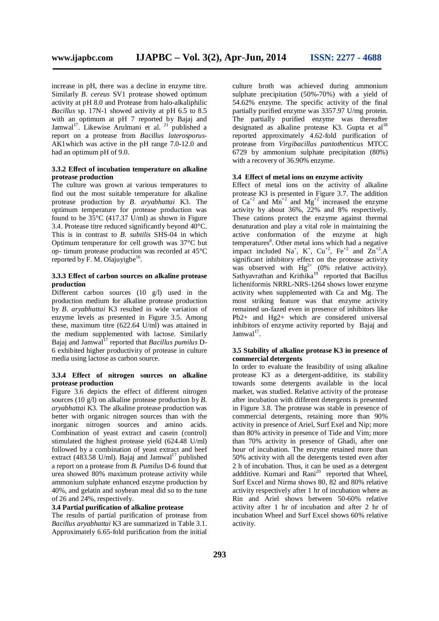increase in pH, there was a decline in enzyme titre. Similarly *B. cereus* SV1 protease showed optimum activity at pH 8.0 and Protease from halo-alkaliphilic *Bacillus* sp. 17N-1 showed activity at pH 6.5 to 8.5 with an optimum at pH 7 reported by Bajaj and Jamwal<sup>17</sup>. Likewise Arulmani et al. <sup>21</sup> published a report on a protease from *Bacillus laterosporus*-AK1which was active in the pH range 7.0-12.0 and had an optimum pH of 9.0.

#### **3.3.2 Effect of incubation temperature on alkaline protease production**

The culture was grown at various temperatures to find out the most suitable temperature for alkaline protease production by *B*. *aryabhattai* K3. The optimum temperature for protease production was found to be  $35^{\circ}$ C (417.37 U/ml) as shown in Figure 3.4. Protease titre reduced significantly beyond 40°C. This is in contrast to *B. subtilis* SHS-04 in which Optimum temperature for cell growth was 37°C but op- timum protease production was recorded at 45°C reported by F. M. Olajuyigbe $^{16}$ .

## **3.3.3 Effect of carbon sources on alkaline protease production**

Different carbon sources (10 g/l) used in the production medium for alkaline protease production by *B*. *aryabhattai* K3 resulted in wide variation of enzyme levels as presented in Figure 3.5. Among these, maximum titre (622.64 U/ml) was attained in the medium supplemented with lactose. Similarly Bajaj and Jamwal<sup>17</sup> reported that *Bacillus pumilus* D-6 exhibited higher productivity of protease in culture media using lactose as carbon source.

#### **3.3.4 Effect of nitrogen sources on alkaline protease production**

Figure 3.6 depicts the effect of different nitrogen sources (10 g/l) on alkaline protease production by *B*. *aryabhattai* K3. The alkaline protease production was better with organic nitrogen sources than with the inorganic nitrogen sources and amino acids. Combination of yeast extract and casein (control) stimulated the highest protease yield (624.48 U/ml) followed by a combination of yeast extract and beef extract (483.58 U/ml). Bajaj and Jamwal<sup>17</sup> published a report on a protease from *B. Pumilus* D-6 found that urea showed 80% maximum protease activity while ammonium sulphate enhanced enzyme production by 40%, and gelatin and soybean meal did so to the tune of 26 and 24%, respectively.

#### **3.4 Partial purification of alkaline protease**

The results of partial purification of protease from *Bacillus aryabhattai* K3 are summarized in Table 3.1. Approximately 6.65-fold purification from the initial culture broth was achieved during ammonium sulphate precipitation (50%-70%) with a yield of 54.62% enzyme. The specific activity of the final partially purified enzyme was 3357.97 U/mg protein. The partially purified enzyme was thereafter designated as alkaline protease K3. Gupta et  $al^{18}$ reported approximately 4.62-fold purification of protease from *Virgibacillus pantothenticus* MTCC 6729 by ammonium sulphate precipitation (80%) with a recovery of 36.90% enzyme.

## **3.4 Effect of metal ions on enzyme activity**

Effect of metal ions on the activity of alkaline protease K3 is presented in Figure 3.7. The addition of  $Ca^{+2}$  and  $Mn^{+2}$  and  $Mg^{+2}$  increased the enzyme activity by about 36%, 22% and 8% respectively. These cations protect the enzyme against thermal denaturation and play a vital role in maintaining the active conformation of the enzyme at high temperatures<sup>8</sup>. Other metal ions which had a negative impact included Na<sup>+</sup>, K<sup>+</sup>, Cu<sup>+2</sup>, Fe<sup>+2</sup> and  $\text{Zn}^{+2}$ .A significant inhibitory effect on the protease activity was observed with  $Hg^{2+}$  (0% relative activity). Sathyavrathan and Krithika<sup>19</sup> reported that Bacillus licheniformis NRRL-NRS-1264 shows lower enzyme activity when supplemented with Ca and Mg. The most striking feature was that enzyme activity remained un-fazed even in presence of inhibitors like Pb2+ and Hg2+ which are considered universal inhibitors of enzyme activity reported by Bajaj and  $Jamwal<sup>17</sup>$ .

#### **3.5 Stability of alkaline protease K3 in presence of commercial detergents**

In order to evaluate the feasibility of using alkaline protease K3 as a detergent-additive, its stability towards some detergents available in the local market, was studied. Relative activity of the protease after incubation with different detergents is presented in Figure 3.8. The protease was stable in presence of commercial detergents, retaining more than 90% activity in presence of Ariel, Surf Exel and Nip; more than 80% activity in presence of Tide and Vim; more than 70% activity in presence of Ghadi, after one hour of incubation. The enzyme retained more than 50% activity with all the detergents tested even after 2 h of incubation. Thus, it can be used as a detergent addditive. Kumari and  $\text{Rani}^{20}$  reported that Wheel. Surf Excel and Nirma shows 80, 82 and 80% relative activity respectively after 1 hr of incubation where as Rin and Ariel shows between 50-60% relative activity after 1 hr of incubation and after 2 hr of incubation Wheel and Surf Excel shows 60% relative activity.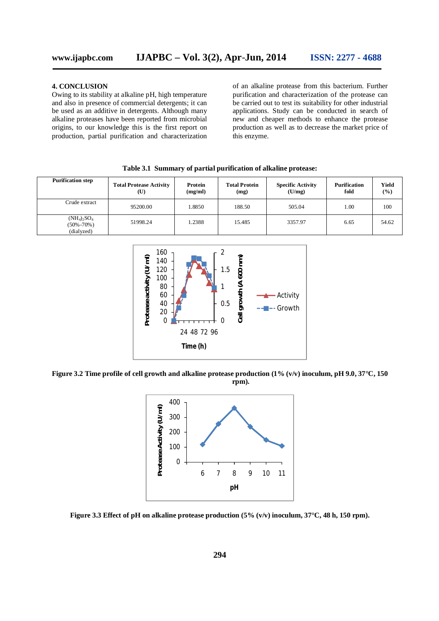#### **4. CONCLUSION**

Owing to its stability at alkaline pH, high temperature and also in presence of commercial detergents; it can be used as an additive in detergents. Although many alkaline proteases have been reported from microbial origins, to our knowledge this is the first report on production, partial purification and characterization of an alkaline protease from this bacterium. Further purification and characterization of the protease can be carried out to test its suitability for other industrial applications. Study can be conducted in search of new and cheaper methods to enhance the protease production as well as to decrease the market price of this enzyme.

| <b>Purification step</b>                          | <b>Total Protease Activity</b><br>$(\mathbf{U})$ | Protein<br>(mg/ml) | <b>Total Protein</b><br>(mg) | <b>Specific Activity</b><br>(U/mg) | <b>Purification</b><br>fold | Yield<br>(%) |
|---------------------------------------------------|--------------------------------------------------|--------------------|------------------------------|------------------------------------|-----------------------------|--------------|
| Crude extract                                     | 95200.00                                         | 1.8850             | 188.50                       | 505.04                             | 1.00                        | 100          |
| $(NH_4)_{2}SO_4$<br>$(50\% - 70\%)$<br>(dialyzed) | 51998.24                                         | 1.2388             | 15.485                       | 3357.97                            | 6.65                        | 54.62        |

**Table 3.1 Summary of partial purification of alkaline protease:**



**Figure 3.2 Time profile of cell growth and alkaline protease production (1% (v/v) inoculum, pH 9.0, 37°C, 150 rpm).**



**Figure 3.3 Effect of pH on alkaline protease production (5% (v/v) inoculum, 37°C, 48 h, 150 rpm).**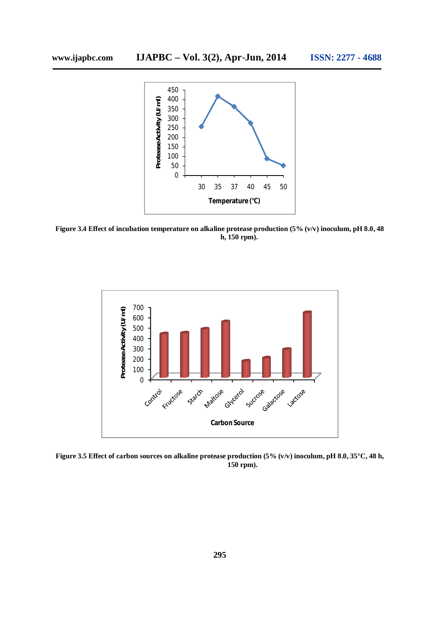

**Figure 3.4 Effect of incubation temperature on alkaline protease production (5% (v/v) inoculum, pH 8.0, 48 h, 150 rpm).**



**Figure 3.5 Effect of carbon sources on alkaline protease production (5% (v/v) inoculum, pH 8.0, 35°C, 48 h, 150 rpm).**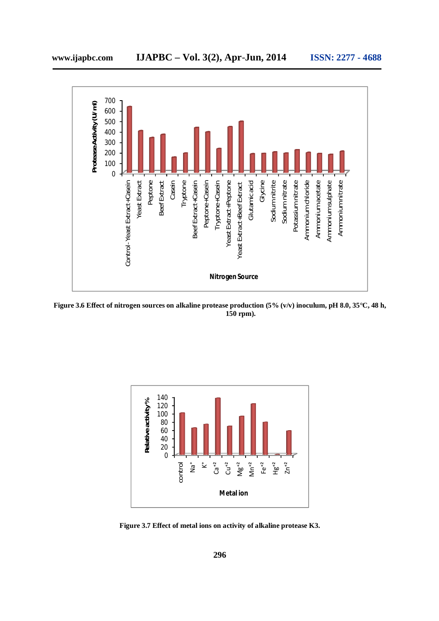

**Figure 3.6 Effect of nitrogen sources on alkaline protease production (5% (v/v) inoculum, pH 8.0, 35°C, 48 h, 150 rpm).**



**Figure 3.7 Effect of metal ions on activity of alkaline protease K3.**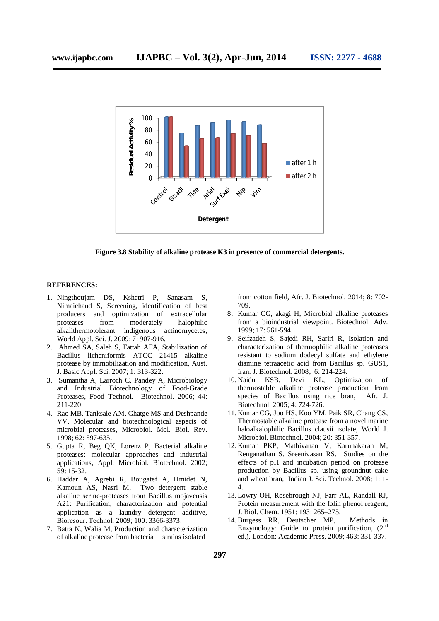

**Figure 3.8 Stability of alkaline protease K3 in presence of commercial detergents.**

#### **REFERENCES:**

- 1. Ningthoujam DS, Kshetri P, Sanasam S, Nimaichand S, Screening, identification of best producers and optimization of extracellular proteases from moderately halophilic alkalithermotolerant indigenous actinomycetes, World Appl. Sci. J. 2009; 7: 907-916.
- 2. Ahmed SA, Saleh S, Fattah AFA, Stabilization of Bacillus licheniformis ATCC 21415 alkaline protease by immobilization and modification, Aust. J. Basic Appl. Sci. 2007; 1: 313-322.
- 3. Sumantha A, Larroch C, Pandey A, Microbiology and Industrial Biotechnology of Food-Grade Proteases, Food Technol. Biotechnol. 2006; 44: 211-220.
- 4. Rao MB, Tanksale AM, Ghatge MS and Deshpande VV, Molecular and biotechnological aspects of microbial proteases, Microbiol. Mol. Biol. Rev. 1998; 62: 597-635.
- 5. Gupta R, Beg QK, Lorenz P, Bacterial alkaline proteases: molecular approaches and industrial applications, Appl. Microbiol. Biotechnol. 2002; 59: 15-32.
- 6. Haddar A, Agrebi R, Bougatef A, Hmidet N, Kamoun AS, Nasri M, Two detergent stable alkaline serine-proteases from Bacillus mojavensis A21: Purification, characterization and potential application as a laundry detergent additive, Bioresour. Technol. 2009; 100: 3366-3373.
- 7. Batra N, Walia M, Production and characterization of alkaline protease from bacteria strains isolated

from cotton field, Afr. J. Biotechnol. 2014; 8: 702- 709.

- 8. Kumar CG, akagi H, Microbial alkaline proteases from a bioindustrial viewpoint. Biotechnol. Adv. 1999; 17: 561-594.
- 9. Seifzadeh S, Sajedi RH, Sariri R, Isolation and characterization of thermophilic alkaline proteases resistant to sodium dodecyl sulfate and ethylene diamine tetraacetic acid from Bacillus sp. GUS1, Iran. J. Biotechnol. 2008; 6: 214-224.
- 10. Naidu KSB, Devi KL, Optimization of thermostable alkaline protease production from species of Bacillus using rice bran, Afr. J. Biotechnol. 2005; 4: 724-726.
- 11. Kumar CG, Joo HS, Koo YM, Paik SR, Chang CS, Thermostable alkaline protease from a novel marine haloalkalophilic Bacillus clausii isolate, World J. Microbiol. Biotechnol. 2004; 20: 351-357.
- 12. Kumar PKP, Mathivanan V, Karunakaran M, Renganathan S, Sreenivasan RS, Studies on the effects of pH and incubation period on protease production by Bacillus sp. using groundnut cake and wheat bran, Indian J. Sci. Technol. 2008; 1: 1- 4.
- 13. Lowry OH, Rosebrough NJ, Farr AL, Randall RJ, Protein measurement with the folin phenol reagent, J. Biol. Chem. 1951; 193: 265–275.
- 14. Burgess RR, Deutscher MP, Methods in Enzymology: Guide to protein purification,  $(2<sup>nd</sup>$ ed.), London: Academic Press, 2009; 463: 331-337.